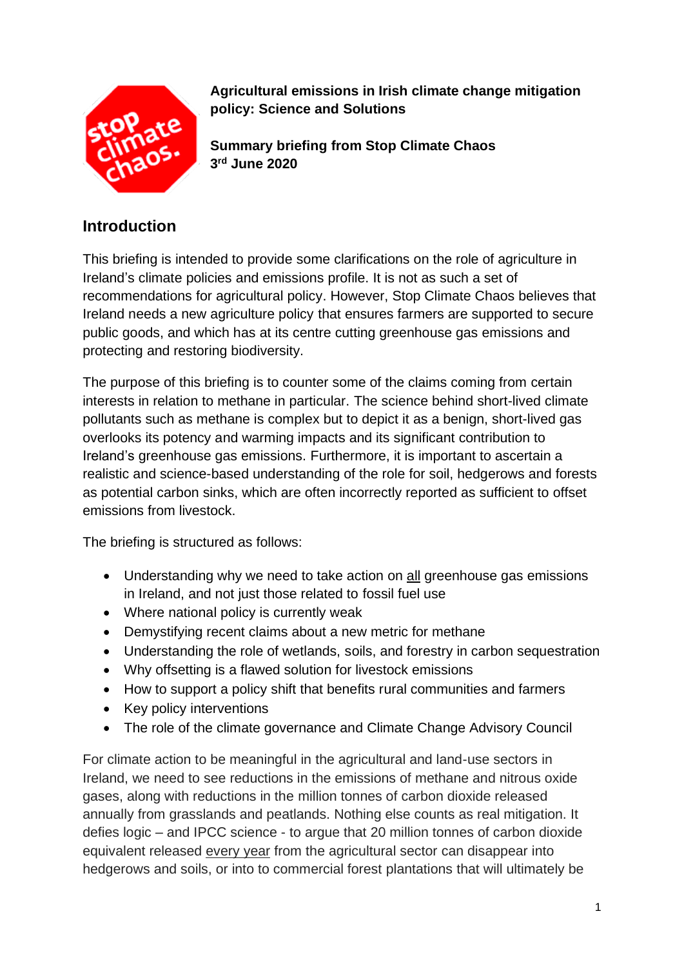

**Agricultural emissions in Irish climate change mitigation policy: Science and Solutions** 

**Summary briefing from Stop Climate Chaos 3 rd June 2020**

### **Introduction**

This briefing is intended to provide some clarifications on the role of agriculture in Ireland's climate policies and emissions profile. It is not as such a set of recommendations for agricultural policy. However, Stop Climate Chaos believes that Ireland needs a new agriculture policy that ensures farmers are supported to secure public goods, and which has at its centre cutting greenhouse gas emissions and protecting and restoring biodiversity.

The purpose of this briefing is to counter some of the claims coming from certain interests in relation to methane in particular. The science behind short-lived climate pollutants such as methane is complex but to depict it as a benign, short-lived gas overlooks its potency and warming impacts and its significant contribution to Ireland's greenhouse gas emissions. Furthermore, it is important to ascertain a realistic and science-based understanding of the role for soil, hedgerows and forests as potential carbon sinks, which are often incorrectly reported as sufficient to offset emissions from livestock.

The briefing is structured as follows:

- Understanding why we need to take action on all greenhouse gas emissions in Ireland, and not just those related to fossil fuel use
- Where national policy is currently weak
- Demystifying recent claims about a new metric for methane
- Understanding the role of wetlands, soils, and forestry in carbon sequestration
- Why offsetting is a flawed solution for livestock emissions
- How to support a policy shift that benefits rural communities and farmers
- Key policy interventions
- The role of the climate governance and Climate Change Advisory Council

For climate action to be meaningful in the agricultural and land-use sectors in Ireland, we need to see reductions in the emissions of methane and nitrous oxide gases, along with reductions in the million tonnes of carbon dioxide released annually from grasslands and peatlands. Nothing else counts as real mitigation. It defies logic – and IPCC science - to argue that 20 million tonnes of carbon dioxide equivalent released every year from the agricultural sector can disappear into hedgerows and soils, or into to commercial forest plantations that will ultimately be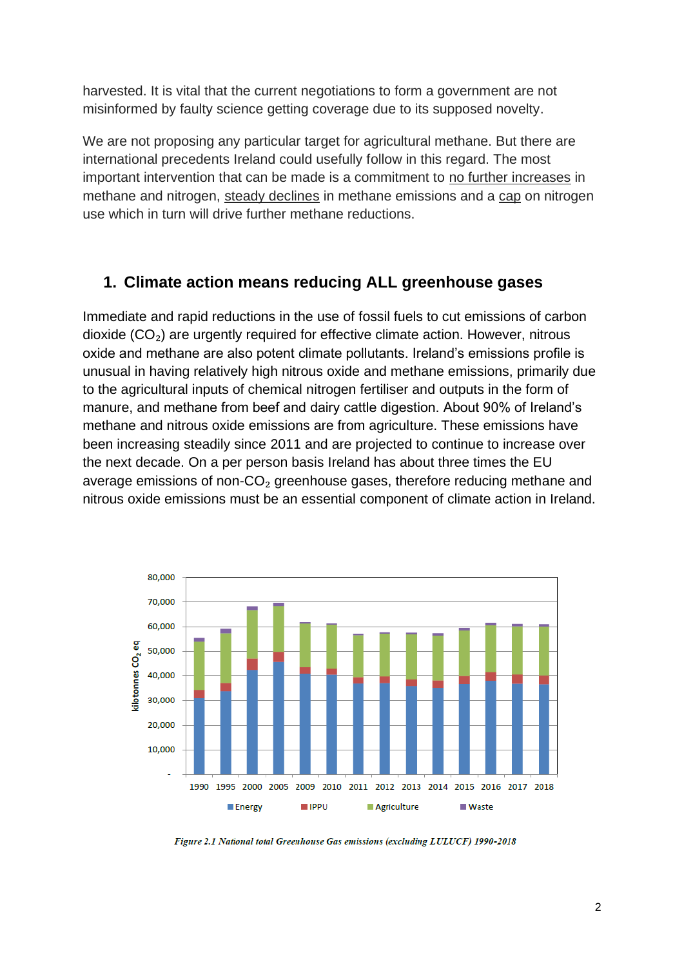harvested. It is vital that the current negotiations to form a government are not misinformed by faulty science getting coverage due to its supposed novelty.

We are not proposing any particular target for agricultural methane. But there are international precedents Ireland could usefully follow in this regard. The most important intervention that can be made is a commitment to no further increases in methane and nitrogen, steady declines in methane emissions and a cap on nitrogen use which in turn will drive further methane reductions.

#### **1. Climate action means reducing ALL greenhouse gases**

Immediate and rapid reductions in the use of fossil fuels to cut emissions of carbon dioxide  $(CO<sub>2</sub>)$  are urgently required for effective climate action. However, nitrous oxide and methane are also potent climate pollutants. Ireland's emissions profile is unusual in having relatively high nitrous oxide and methane emissions, primarily due to the agricultural inputs of chemical nitrogen fertiliser and outputs in the form of manure, and methane from beef and dairy cattle digestion. About 90% of Ireland's methane and nitrous oxide emissions are from agriculture. These emissions have been increasing steadily since 2011 and are projected to continue to increase over the next decade. On a per person basis Ireland has about three times the EU average emissions of non-CO<sub>2</sub> greenhouse gases, therefore reducing methane and nitrous oxide emissions must be an essential component of climate action in Ireland.



Figure 2.1 National total Greenhouse Gas emissions (excluding LULUCF) 1990-2018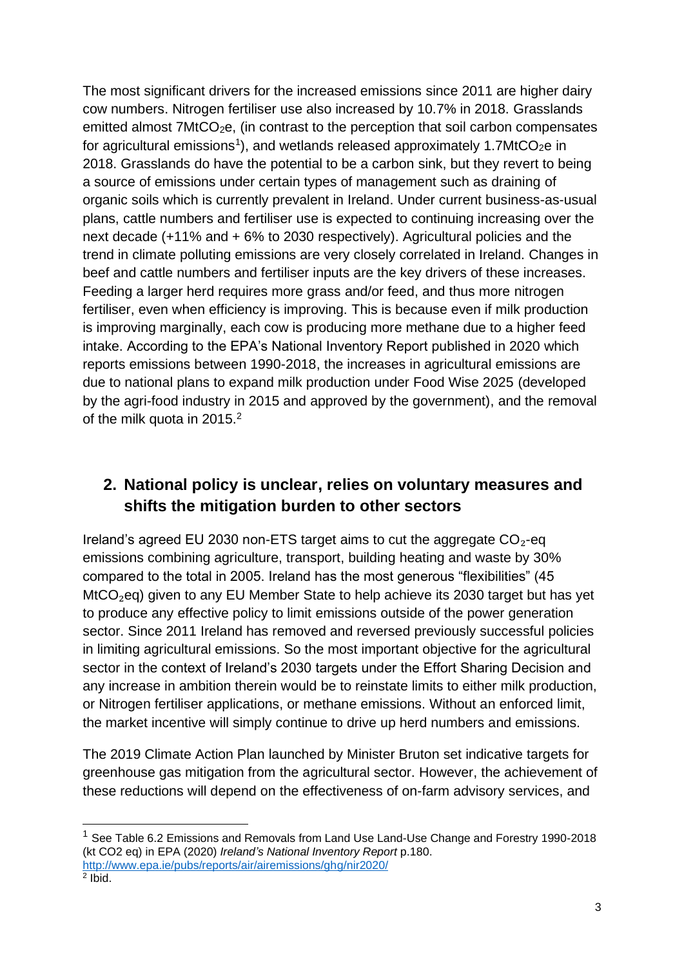The most significant drivers for the increased emissions since 2011 are higher dairy cow numbers. Nitrogen fertiliser use also increased by 10.7% in 2018. Grasslands emitted almost 7MtCO<sub>2</sub>e, (in contrast to the perception that soil carbon compensates for agricultural emissions<sup>1</sup>), and wetlands released approximately 1.7MtCO<sub>2</sub>e in 2018. Grasslands do have the potential to be a carbon sink, but they revert to being a source of emissions under certain types of management such as draining of organic soils which is currently prevalent in Ireland. Under current business-as-usual plans, cattle numbers and fertiliser use is expected to continuing increasing over the next decade (+11% and + 6% to 2030 respectively). Agricultural policies and the trend in climate polluting emissions are very closely correlated in Ireland. Changes in beef and cattle numbers and fertiliser inputs are the key drivers of these increases. Feeding a larger herd requires more grass and/or feed, and thus more nitrogen fertiliser, even when efficiency is improving. This is because even if milk production is improving marginally, each cow is producing more methane due to a higher feed intake. According to the EPA's National Inventory Report published in 2020 which reports emissions between 1990-2018, the increases in agricultural emissions are due to national plans to expand milk production under Food Wise 2025 (developed by the agri-food industry in 2015 and approved by the government), and the removal of the milk quota in 2015.<sup>2</sup>

## **2. National policy is unclear, relies on voluntary measures and shifts the mitigation burden to other sectors**

Ireland's agreed EU 2030 non-ETS target aims to cut the aggregate  $CO<sub>2</sub>$ -eq emissions combining agriculture, transport, building heating and waste by 30% compared to the total in 2005. Ireland has the most generous "flexibilities" (45 MtCO<sub>2</sub>eq) given to any EU Member State to help achieve its 2030 target but has yet to produce any effective policy to limit emissions outside of the power generation sector. Since 2011 Ireland has removed and reversed previously successful policies in limiting agricultural emissions. So the most important objective for the agricultural sector in the context of Ireland's 2030 targets under the Effort Sharing Decision and any increase in ambition therein would be to reinstate limits to either milk production, or Nitrogen fertiliser applications, or methane emissions. Without an enforced limit, the market incentive will simply continue to drive up herd numbers and emissions.

The 2019 Climate Action Plan launched by Minister Bruton set indicative targets for greenhouse gas mitigation from the agricultural sector. However, the achievement of these reductions will depend on the effectiveness of on-farm advisory services, and

 $1$  See Table 6.2 Emissions and Removals from Land Use Land-Use Change and Forestry 1990-2018 (kt CO2 eq) in EPA (2020) *Ireland's National Inventory Report* p.180. <http://www.epa.ie/pubs/reports/air/airemissions/ghg/nir2020/>

 $2$  Ibid.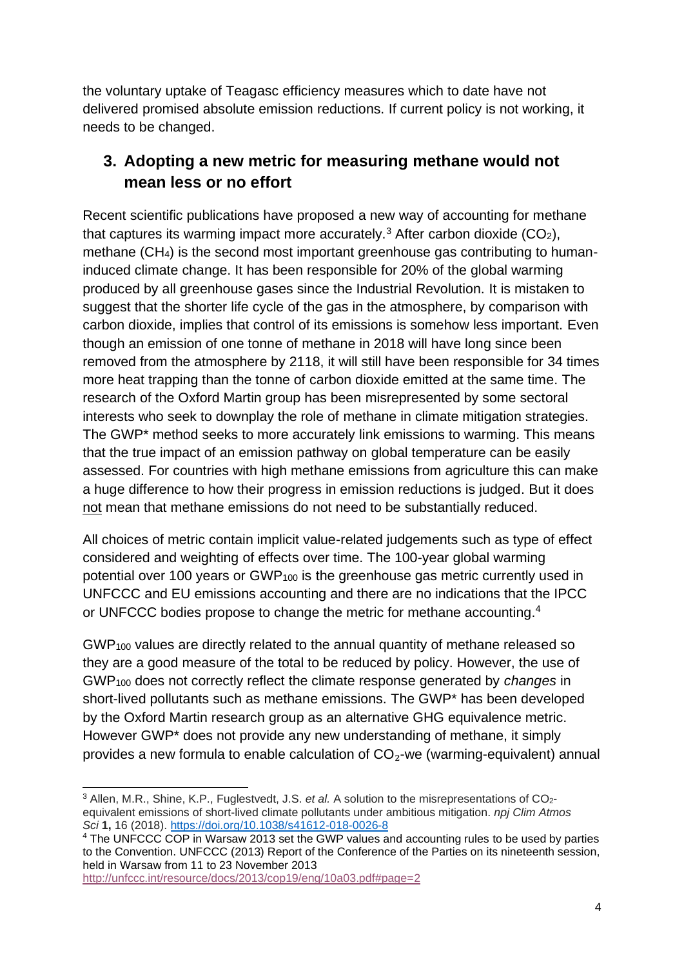the voluntary uptake of Teagasc efficiency measures which to date have not delivered promised absolute emission reductions. If current policy is not working, it needs to be changed.

## **3. Adopting a new metric for measuring methane would not mean less or no effort**

Recent scientific publications have proposed a new way of accounting for methane that captures its warming impact more accurately.<sup>3</sup> After carbon dioxide  $(CO<sub>2</sub>)$ , methane (CH4) is the second most important greenhouse gas contributing to humaninduced climate change. It has been responsible for 20% of the global warming produced by all greenhouse gases since the Industrial Revolution. It is mistaken to suggest that the shorter life cycle of the gas in the atmosphere, by comparison with carbon dioxide, implies that control of its emissions is somehow less important. Even though an emission of one tonne of methane in 2018 will have long since been removed from the atmosphere by 2118, it will still have been responsible for 34 times more heat trapping than the tonne of carbon dioxide emitted at the same time. The research of the Oxford Martin group has been misrepresented by some sectoral interests who seek to downplay the role of methane in climate mitigation strategies. The GWP\* method seeks to more accurately link emissions to warming. This means that the true impact of an emission pathway on global temperature can be easily assessed. For countries with high methane emissions from agriculture this can make a huge difference to how their progress in emission reductions is judged. But it does not mean that methane emissions do not need to be substantially reduced.

All choices of metric contain implicit value-related judgements such as type of effect considered and weighting of effects over time. The 100-year global warming potential over 100 years or GWP<sub>100</sub> is the greenhouse gas metric currently used in UNFCCC and EU emissions accounting and there are no indications that the IPCC or UNFCCC bodies propose to change the metric for methane accounting. 4

GWP<sup>100</sup> values are directly related to the annual quantity of methane released so they are a good measure of the total to be reduced by policy. However, the use of GWP<sup>100</sup> does not correctly reflect the climate response generated by *changes* in short-lived pollutants such as methane emissions. The GWP\* has been developed by the Oxford Martin research group as an alternative GHG equivalence metric. However GWP\* does not provide any new understanding of methane, it simply provides a new formula to enable calculation of  $CO<sub>2</sub>$ -we (warming-equivalent) annual

<sup>&</sup>lt;sup>3</sup> Allen, M.R., Shine, K.P., Fuglestvedt, J.S. *et al.* A solution to the misrepresentations of CO<sub>2</sub>equivalent emissions of short-lived climate pollutants under ambitious mitigation. *npj Clim Atmos Sci* **1,** 16 (2018).<https://doi.org/10.1038/s41612-018-0026-8>

<sup>4</sup> The UNFCCC COP in Warsaw 2013 set the GWP values and accounting rules to be used by parties to the Convention. UNFCCC (2013) Report of the Conference of the Parties on its nineteenth session, held in Warsaw from 11 to 23 November 2013

<http://unfccc.int/resource/docs/2013/cop19/eng/10a03.pdf#page=2>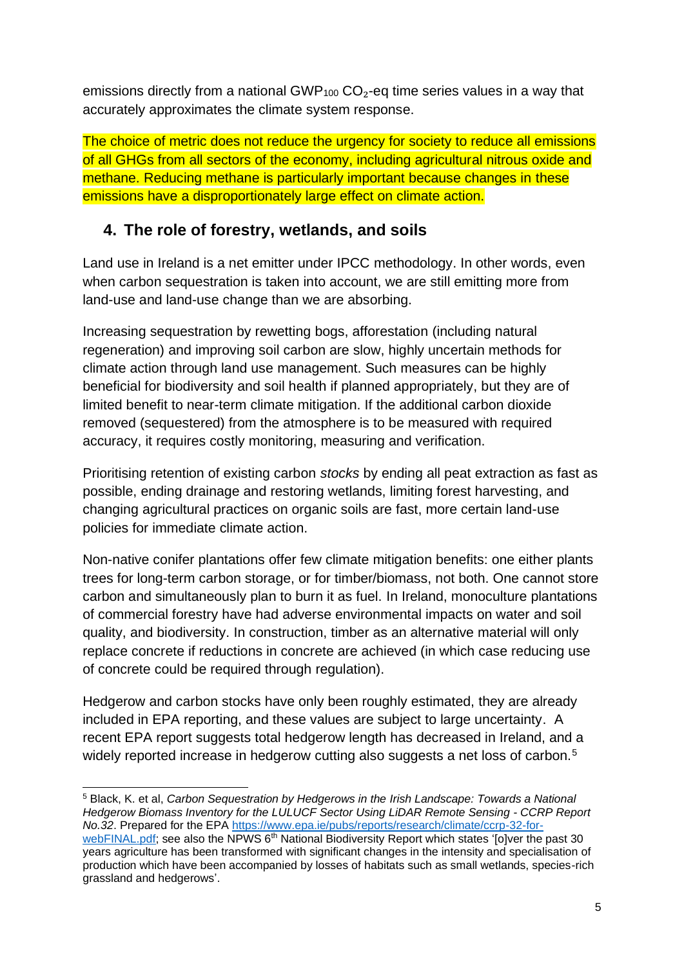emissions directly from a national  $GWP<sub>100</sub> CO<sub>2</sub>$ -eq time series values in a way that accurately approximates the climate system response.

The choice of metric does not reduce the urgency for society to reduce all emissions of all GHGs from all sectors of the economy, including agricultural nitrous oxide and methane. Reducing methane is particularly important because changes in these emissions have a disproportionately large effect on climate action.

## **4. The role of forestry, wetlands, and soils**

Land use in Ireland is a net emitter under IPCC methodology. In other words, even when carbon sequestration is taken into account, we are still emitting more from land-use and land-use change than we are absorbing.

Increasing sequestration by rewetting bogs, afforestation (including natural regeneration) and improving soil carbon are slow, highly uncertain methods for climate action through land use management. Such measures can be highly beneficial for biodiversity and soil health if planned appropriately, but they are of limited benefit to near-term climate mitigation. If the additional carbon dioxide removed (sequestered) from the atmosphere is to be measured with required accuracy, it requires costly monitoring, measuring and verification.

Prioritising retention of existing carbon *stocks* by ending all peat extraction as fast as possible, ending drainage and restoring wetlands, limiting forest harvesting, and changing agricultural practices on organic soils are fast, more certain land-use policies for immediate climate action.

Non-native conifer plantations offer few climate mitigation benefits: one either plants trees for long-term carbon storage, or for timber/biomass, not both. One cannot store carbon and simultaneously plan to burn it as fuel. In Ireland, monoculture plantations of commercial forestry have had adverse environmental impacts on water and soil quality, and biodiversity. In construction, timber as an alternative material will only replace concrete if reductions in concrete are achieved (in which case reducing use of concrete could be required through regulation).

Hedgerow and carbon stocks have only been roughly estimated, they are already included in EPA reporting, and these values are subject to large uncertainty. A recent EPA report suggests total hedgerow length has decreased in Ireland, and a widely reported increase in hedgerow cutting also suggests a net loss of carbon.<sup>5</sup>

<sup>5</sup> Black, K. et al, *Carbon Sequestration by Hedgerows in the Irish Landscape: Towards a National Hedgerow Biomass Inventory for the LULUCF Sector Using LiDAR Remote Sensing - CCRP Report No.32*. Prepared for the EPA [https://www.epa.ie/pubs/reports/research/climate/ccrp-32-for](https://www.epa.ie/pubs/reports/research/climate/ccrp-32-for-webFINAL.pdf)[webFINAL.pdf;](https://www.epa.ie/pubs/reports/research/climate/ccrp-32-for-webFINAL.pdf) see also the NPWS 6<sup>th</sup> National Biodiversity Report which states '[o]ver the past 30 years agriculture has been transformed with significant changes in the intensity and specialisation of production which have been accompanied by losses of habitats such as small wetlands, species-rich grassland and hedgerows'.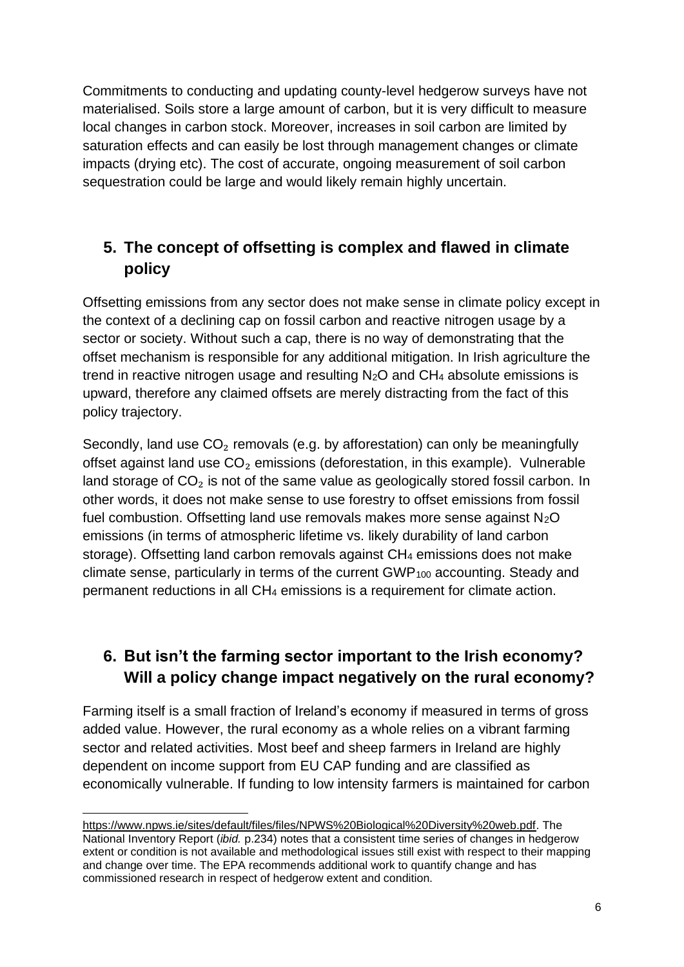Commitments to conducting and updating county-level hedgerow surveys have not materialised. Soils store a large amount of carbon, but it is very difficult to measure local changes in carbon stock. Moreover, increases in soil carbon are limited by saturation effects and can easily be lost through management changes or climate impacts (drying etc). The cost of accurate, ongoing measurement of soil carbon sequestration could be large and would likely remain highly uncertain.

## **5. The concept of offsetting is complex and flawed in climate policy**

Offsetting emissions from any sector does not make sense in climate policy except in the context of a declining cap on fossil carbon and reactive nitrogen usage by a sector or society. Without such a cap, there is no way of demonstrating that the offset mechanism is responsible for any additional mitigation. In Irish agriculture the trend in reactive nitrogen usage and resulting  $N_2O$  and  $CH_4$  absolute emissions is upward, therefore any claimed offsets are merely distracting from the fact of this policy trajectory.

Secondly, land use  $CO<sub>2</sub>$  removals (e.g. by afforestation) can only be meaningfully offset against land use  $CO<sub>2</sub>$  emissions (deforestation, in this example). Vulnerable land storage of  $CO<sub>2</sub>$  is not of the same value as geologically stored fossil carbon. In other words, it does not make sense to use forestry to offset emissions from fossil fuel combustion. Offsetting land use removals makes more sense against  $N_2O$ emissions (in terms of atmospheric lifetime vs. likely durability of land carbon storage). Offsetting land carbon removals against CH<sup>4</sup> emissions does not make climate sense, particularly in terms of the current GWP<sub>100</sub> accounting. Steady and permanent reductions in all CH<sup>4</sup> emissions is a requirement for climate action.

## **6. But isn't the farming sector important to the Irish economy? Will a policy change impact negatively on the rural economy?**

Farming itself is a small fraction of Ireland's economy if measured in terms of gross added value. However, the rural economy as a whole relies on a vibrant farming sector and related activities. Most beef and sheep farmers in Ireland are highly dependent on income support from EU CAP funding and are classified as economically vulnerable. If funding to low intensity farmers is maintained for carbon

[https://www.npws.ie/sites/default/files/files/NPWS%20Biological%20Diversity%20web.pdf.](https://www.npws.ie/sites/default/files/files/NPWS%20Biological%20Diversity%20web.pdf) The National Inventory Report (*ibid.* p.234) notes that a consistent time series of changes in hedgerow extent or condition is not available and methodological issues still exist with respect to their mapping and change over time. The EPA recommends additional work to quantify change and has commissioned research in respect of hedgerow extent and condition.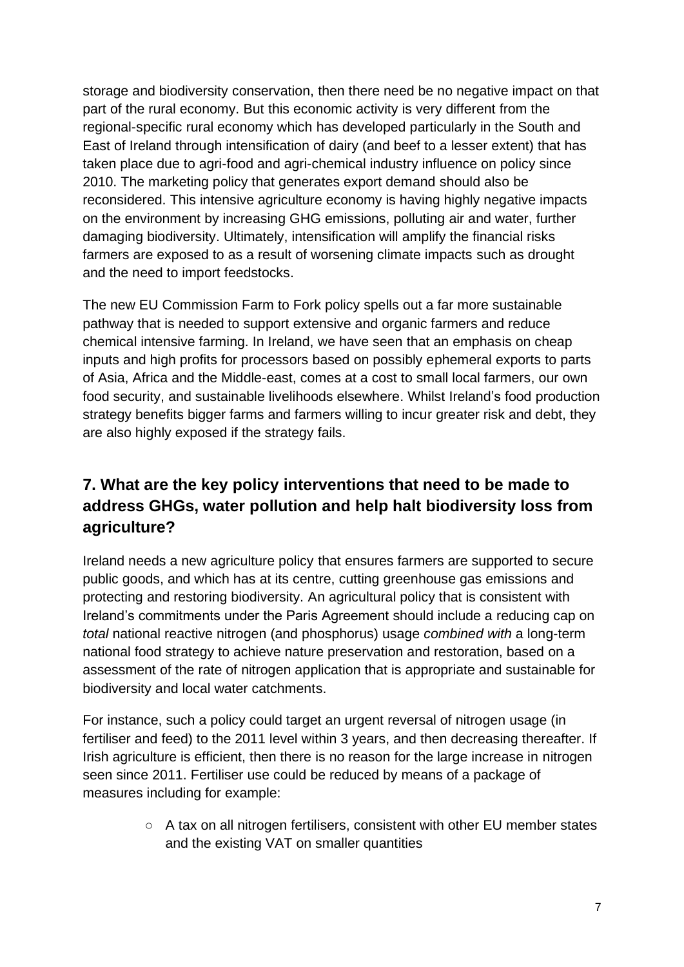storage and biodiversity conservation, then there need be no negative impact on that part of the rural economy. But this economic activity is very different from the regional-specific rural economy which has developed particularly in the South and East of Ireland through intensification of dairy (and beef to a lesser extent) that has taken place due to agri-food and agri-chemical industry influence on policy since 2010. The marketing policy that generates export demand should also be reconsidered. This intensive agriculture economy is having highly negative impacts on the environment by increasing GHG emissions, polluting air and water, further damaging biodiversity. Ultimately, intensification will amplify the financial risks farmers are exposed to as a result of worsening climate impacts such as drought and the need to import feedstocks.

The new EU Commission Farm to Fork policy spells out a far more sustainable pathway that is needed to support extensive and organic farmers and reduce chemical intensive farming. In Ireland, we have seen that an emphasis on cheap inputs and high profits for processors based on possibly ephemeral exports to parts of Asia, Africa and the Middle-east, comes at a cost to small local farmers, our own food security, and sustainable livelihoods elsewhere. Whilst Ireland's food production strategy benefits bigger farms and farmers willing to incur greater risk and debt, they are also highly exposed if the strategy fails.

# **7. What are the key policy interventions that need to be made to address GHGs, water pollution and help halt biodiversity loss from agriculture?**

Ireland needs a new agriculture policy that ensures farmers are supported to secure public goods, and which has at its centre, cutting greenhouse gas emissions and protecting and restoring biodiversity. An agricultural policy that is consistent with Ireland's commitments under the Paris Agreement should include a reducing cap on *total* national reactive nitrogen (and phosphorus) usage *combined with* a long-term national food strategy to achieve nature preservation and restoration, based on a assessment of the rate of nitrogen application that is appropriate and sustainable for biodiversity and local water catchments.

For instance, such a policy could target an urgent reversal of nitrogen usage (in fertiliser and feed) to the 2011 level within 3 years, and then decreasing thereafter. If Irish agriculture is efficient, then there is no reason for the large increase in nitrogen seen since 2011. Fertiliser use could be reduced by means of a package of measures including for example:

> ○ A tax on all nitrogen fertilisers, consistent with other EU member states and the existing VAT on smaller quantities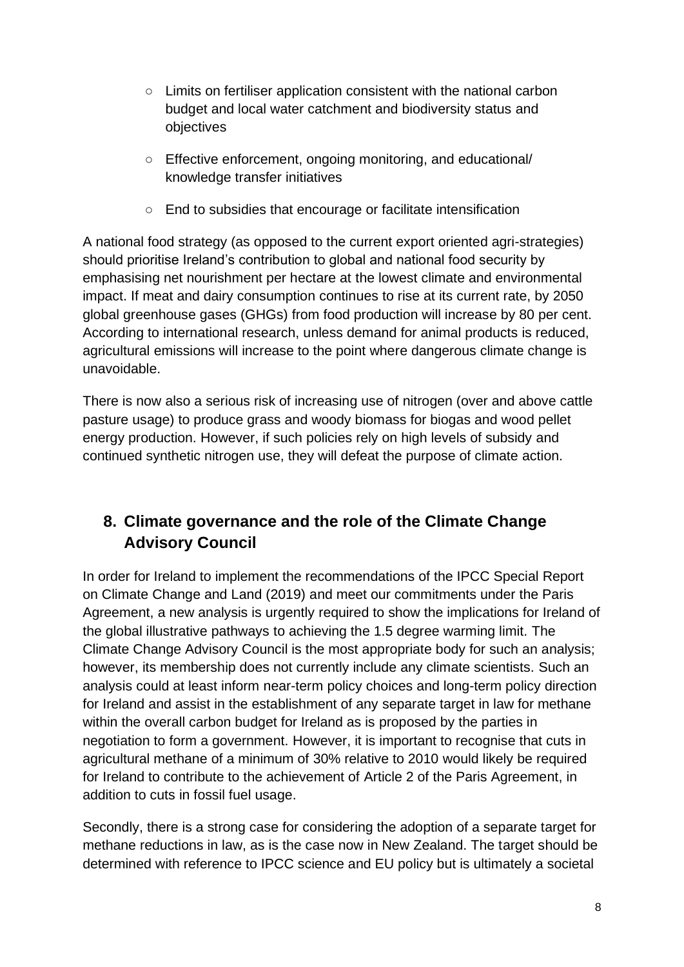- Limits on fertiliser application consistent with the national carbon budget and local water catchment and biodiversity status and objectives
- Effective enforcement, ongoing monitoring, and educational/ knowledge transfer initiatives
- End to subsidies that encourage or facilitate intensification

A national food strategy (as opposed to the current export oriented agri-strategies) should prioritise Ireland's contribution to global and national food security by emphasising net nourishment per hectare at the lowest climate and environmental impact. If meat and dairy consumption continues to rise at its current rate, by 2050 global greenhouse gases (GHGs) from food production will increase by 80 per cent. According to international research, unless demand for animal products is reduced, agricultural emissions will increase to the point where dangerous climate change is unavoidable.

There is now also a serious risk of increasing use of nitrogen (over and above cattle pasture usage) to produce grass and woody biomass for biogas and wood pellet energy production. However, if such policies rely on high levels of subsidy and continued synthetic nitrogen use, they will defeat the purpose of climate action.

## **8. Climate governance and the role of the Climate Change Advisory Council**

In order for Ireland to implement the recommendations of the IPCC Special Report on Climate Change and Land (2019) and meet our commitments under the Paris Agreement, a new analysis is urgently required to show the implications for Ireland of the global illustrative pathways to achieving the 1.5 degree warming limit. The Climate Change Advisory Council is the most appropriate body for such an analysis; however, its membership does not currently include any climate scientists. Such an analysis could at least inform near-term policy choices and long-term policy direction for Ireland and assist in the establishment of any separate target in law for methane within the overall carbon budget for Ireland as is proposed by the parties in negotiation to form a government. However, it is important to recognise that cuts in agricultural methane of a minimum of 30% relative to 2010 would likely be required for Ireland to contribute to the achievement of Article 2 of the Paris Agreement, in addition to cuts in fossil fuel usage.

Secondly, there is a strong case for considering the adoption of a separate target for methane reductions in law, as is the case now in New Zealand. The target should be determined with reference to IPCC science and EU policy but is ultimately a societal